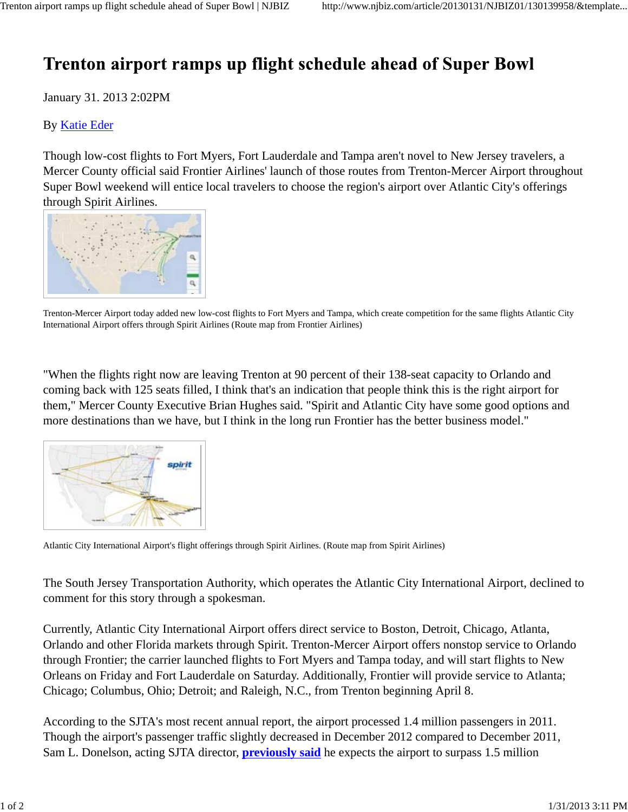## Trenton airport ramps up flight schedule ahead of Super Bowl

January 31. 2013 2:02PM

## By Katie Eder

Though low-cost flights to Fort Myers, Fort Lauderdale and Tampa aren't novel to New Jersey travelers, a Mercer County official said Frontier Airlines' launch of those routes from Trenton-Mercer Airport throughout Super Bowl weekend will entice local travelers to choose the region's airport over Atlantic City's offerings through Spirit Airlines.



Trenton-Mercer Airport today added new low-cost flights to Fort Myers and Tampa, which create competition for the same flights Atlantic City International Airport offers through Spirit Airlines (Route map from Frontier Airlines)

"When the flights right now are leaving Trenton at 90 percent of their 138-seat capacity to Orlando and coming back with 125 seats filled, I think that's an indication that people think this is the right airport for them," Mercer County Executive Brian Hughes said. "Spirit and Atlantic City have some good options and more destinations than we have, but I think in the long run Frontier has the better business model."



Atlantic City International Airport's flight offerings through Spirit Airlines. (Route map from Spirit Airlines)

The South Jersey Transportation Authority, which operates the Atlantic City International Airport, declined to comment for this story through a spokesman.

Currently, Atlantic City International Airport offers direct service to Boston, Detroit, Chicago, Atlanta, Orlando and other Florida markets through Spirit. Trenton-Mercer Airport offers nonstop service to Orlando through Frontier; the carrier launched flights to Fort Myers and Tampa today, and will start flights to New Orleans on Friday and Fort Lauderdale on Saturday. Additionally, Frontier will provide service to Atlanta; Chicago; Columbus, Ohio; Detroit; and Raleigh, N.C., from Trenton beginning April 8.

According to the SJTA's most recent annual report, the airport processed 1.4 million passengers in 2011. Though the airport's passenger traffic slightly decreased in December 2012 compared to December 2011, Sam L. Donelson, acting SJTA director, **previously said** he expects the airport to surpass 1.5 million